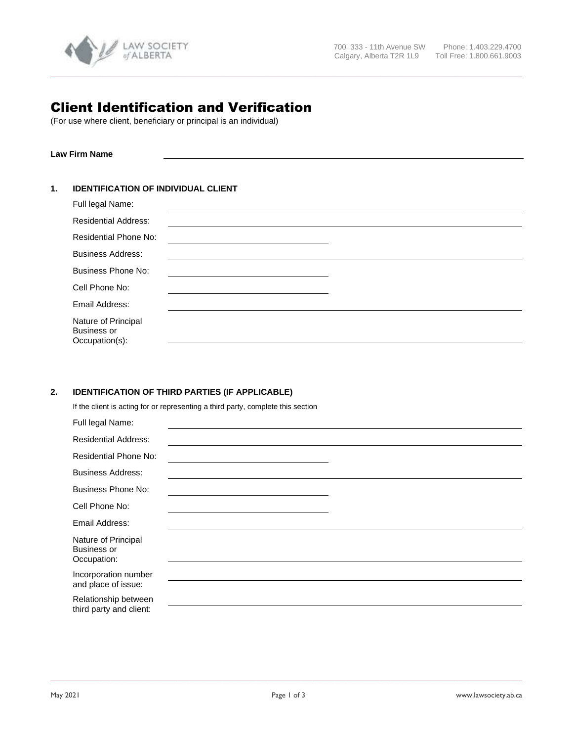

# Client Identification and Verification

(For use where client, beneficiary or principal is an individual)

**Law Firm Name**

## **1. IDENTIFICATION OF INDIVIDUAL CLIENT**

| Full legal Name:                                            |  |
|-------------------------------------------------------------|--|
| <b>Residential Address:</b>                                 |  |
| <b>Residential Phone No:</b>                                |  |
| <b>Business Address:</b>                                    |  |
| <b>Business Phone No:</b>                                   |  |
| Cell Phone No:                                              |  |
| Email Address:                                              |  |
| Nature of Principal<br><b>Business or</b><br>Occupation(s): |  |

**\_\_\_\_\_\_\_\_\_\_\_\_\_\_\_\_\_\_\_\_\_\_\_\_\_\_\_\_\_\_\_\_\_\_\_\_\_\_\_\_\_\_\_\_\_\_\_\_\_\_\_\_\_\_\_\_\_\_\_\_\_\_\_\_\_\_\_\_\_\_\_\_\_\_\_\_\_\_\_\_\_\_\_\_\_\_\_\_\_\_\_\_\_\_\_\_\_\_\_\_\_\_\_\_\_\_\_\_\_\_\_\_\_\_\_\_\_\_\_\_\_\_\_\_\_\_**

# **2. IDENTIFICATION OF THIRD PARTIES (IF APPLICABLE)**

If the client is acting for or representing a third party, complete this section

| Full legal Name:                                         |  |
|----------------------------------------------------------|--|
| <b>Residential Address:</b>                              |  |
| <b>Residential Phone No:</b>                             |  |
| <b>Business Address:</b>                                 |  |
| <b>Business Phone No:</b>                                |  |
| Cell Phone No:                                           |  |
| Email Address:                                           |  |
| Nature of Principal<br><b>Business or</b><br>Occupation: |  |
| Incorporation number<br>and place of issue:              |  |
| Relationship between<br>third party and client:          |  |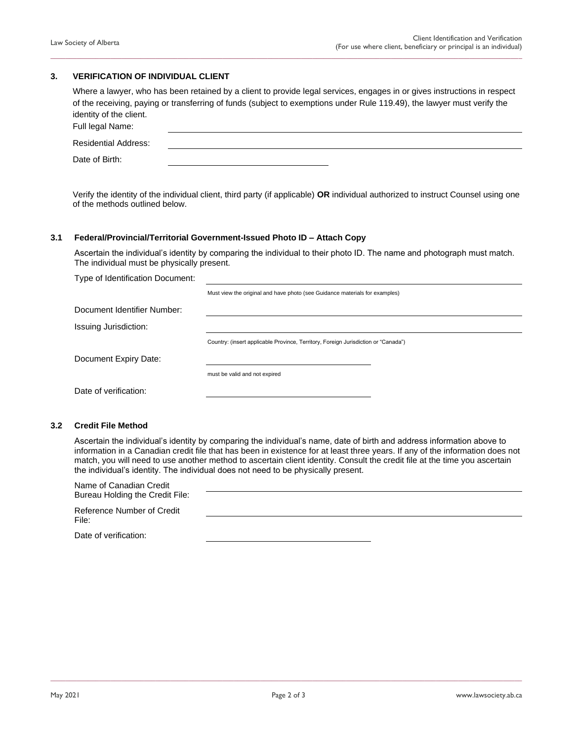### **3. VERIFICATION OF INDIVIDUAL CLIENT**

| Where a lawyer, who has been retained by a client to provide legal services, engages in or gives instructions in respect |
|--------------------------------------------------------------------------------------------------------------------------|
| of the receiving, paying or transferring of funds (subject to exemptions under Rule 119.49), the lawyer must verify the  |
| identity of the client.                                                                                                  |
| Full legal Name:                                                                                                         |

**\_\_\_\_\_\_\_\_\_\_\_\_\_\_\_\_\_\_\_\_\_\_\_\_\_\_\_\_\_\_\_\_\_\_\_\_\_\_\_\_\_\_\_\_\_\_\_\_\_\_\_\_\_\_\_\_\_\_\_\_\_\_\_\_\_\_\_\_\_\_\_\_\_\_\_\_\_\_\_\_\_\_\_\_\_\_\_\_\_\_\_\_\_\_\_\_\_\_\_\_\_\_\_\_\_\_\_\_\_\_\_\_\_\_\_\_\_\_\_\_\_\_\_\_\_\_**

| <b>Residential Address:</b> |  |  |
|-----------------------------|--|--|
| Date of Birth:              |  |  |

Verify the identity of the individual client, third party (if applicable) **OR** individual authorized to instruct Counsel using one of the methods outlined below.

#### **3.1 Federal/Provincial/Territorial Government-Issued Photo ID – Attach Copy**

Ascertain the individual's identity by comparing the individual to their photo ID. The name and photograph must match. The individual must be physically present.

Type of Identification Document:

Must view the original and have photo (see Guidance materials for examples)

| Document Identifier Number: |  |
|-----------------------------|--|
|                             |  |

Issuing Jurisdiction:

Country: (insert applicable Province, Territory, Foreign Jurisdiction or "Canada")

Document Expiry Date:

must be valid and not expired

Date of verification:

#### **3.2 Credit File Method**

Ascertain the individual's identity by comparing the individual's name, date of birth and address information above to information in a Canadian credit file that has been in existence for at least three years. If any of the information does not match, you will need to use another method to ascertain client identity. Consult the credit file at the time you ascertain the individual's identity. The individual does not need to be physically present.

| Name of Canadian Credit<br>Bureau Holding the Credit File: |  |
|------------------------------------------------------------|--|
| Reference Number of Credit<br>File:                        |  |
| Date of verification:                                      |  |